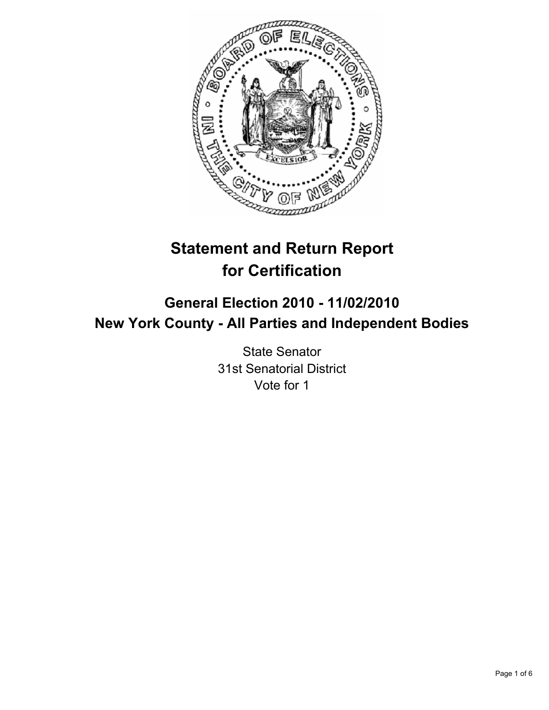

# **Statement and Return Report for Certification**

# **General Election 2010 - 11/02/2010 New York County - All Parties and Independent Bodies**

State Senator 31st Senatorial District Vote for 1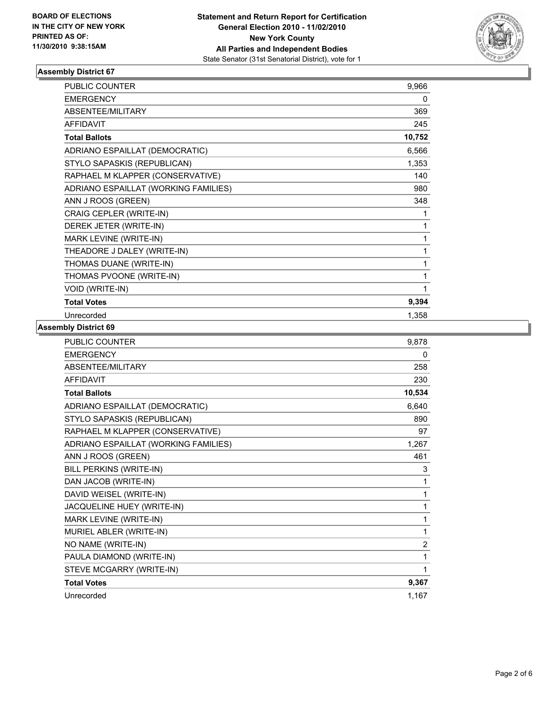

### **Assembly District 67**

| <b>PUBLIC COUNTER</b>                | 9,966  |
|--------------------------------------|--------|
| <b>EMERGENCY</b>                     | 0      |
| <b>ABSENTEE/MILITARY</b>             | 369    |
| <b>AFFIDAVIT</b>                     | 245    |
| <b>Total Ballots</b>                 | 10,752 |
| ADRIANO ESPAILLAT (DEMOCRATIC)       | 6,566  |
| STYLO SAPASKIS (REPUBLICAN)          | 1,353  |
| RAPHAEL M KLAPPER (CONSERVATIVE)     | 140    |
| ADRIANO ESPAILLAT (WORKING FAMILIES) | 980    |
| ANN J ROOS (GREEN)                   | 348    |
| CRAIG CEPLER (WRITE-IN)              | 1      |
| DEREK JETER (WRITE-IN)               | 1      |
| MARK LEVINE (WRITE-IN)               | 1      |
| THEADORE J DALEY (WRITE-IN)          | 1      |
| THOMAS DUANE (WRITE-IN)              | 1      |
| THOMAS PVOONE (WRITE-IN)             | 1      |
| VOID (WRITE-IN)                      | 1      |
| <b>Total Votes</b>                   | 9,394  |
| Unrecorded                           | 1,358  |

#### **Assembly District 69**

| PUBLIC COUNTER                       | 9,878  |
|--------------------------------------|--------|
| <b>EMERGENCY</b>                     | 0      |
| ABSENTEE/MILITARY                    | 258    |
| <b>AFFIDAVIT</b>                     | 230    |
| <b>Total Ballots</b>                 | 10,534 |
| ADRIANO ESPAILLAT (DEMOCRATIC)       | 6,640  |
| STYLO SAPASKIS (REPUBLICAN)          | 890    |
| RAPHAEL M KLAPPER (CONSERVATIVE)     | 97     |
| ADRIANO ESPAILLAT (WORKING FAMILIES) | 1,267  |
| ANN J ROOS (GREEN)                   | 461    |
| BILL PERKINS (WRITE-IN)              | 3      |
| DAN JACOB (WRITE-IN)                 | 1      |
| DAVID WEISEL (WRITE-IN)              | 1      |
| JACQUELINE HUEY (WRITE-IN)           | 1      |
| MARK LEVINE (WRITE-IN)               | 1      |
| MURIEL ABLER (WRITE-IN)              | 1      |
| NO NAME (WRITE-IN)                   | 2      |
| PAULA DIAMOND (WRITE-IN)             | 1      |
| STEVE MCGARRY (WRITE-IN)             | 1      |
| <b>Total Votes</b>                   | 9,367  |
| Unrecorded                           | 1,167  |
|                                      |        |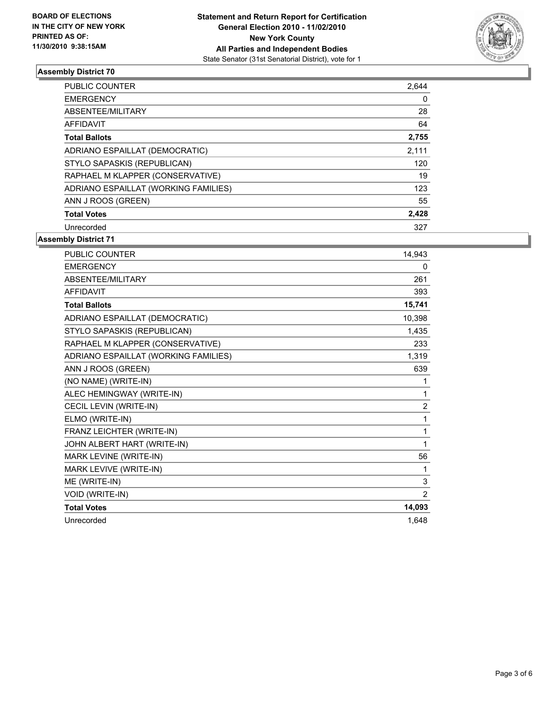

#### **Assembly District 70**

| <b>PUBLIC COUNTER</b>                | 2,644 |
|--------------------------------------|-------|
| <b>EMERGENCY</b>                     | 0     |
| ABSENTEE/MILITARY                    | 28    |
| <b>AFFIDAVIT</b>                     | 64    |
| <b>Total Ballots</b>                 | 2,755 |
| ADRIANO ESPAILLAT (DEMOCRATIC)       | 2,111 |
| STYLO SAPASKIS (REPUBLICAN)          | 120   |
| RAPHAEL M KLAPPER (CONSERVATIVE)     | 19    |
| ADRIANO ESPAILLAT (WORKING FAMILIES) | 123   |
| ANN J ROOS (GREEN)                   | 55    |
| <b>Total Votes</b>                   | 2,428 |
| Unrecorded                           | 327   |

**Assembly District 71**

| <b>PUBLIC COUNTER</b>                | 14,943         |
|--------------------------------------|----------------|
| <b>EMERGENCY</b>                     | 0              |
| <b>ABSENTEE/MILITARY</b>             | 261            |
| <b>AFFIDAVIT</b>                     | 393            |
| <b>Total Ballots</b>                 | 15,741         |
| ADRIANO ESPAILLAT (DEMOCRATIC)       | 10,398         |
| STYLO SAPASKIS (REPUBLICAN)          | 1,435          |
| RAPHAEL M KLAPPER (CONSERVATIVE)     | 233            |
| ADRIANO ESPAILLAT (WORKING FAMILIES) | 1,319          |
| ANN J ROOS (GREEN)                   | 639            |
| (NO NAME) (WRITE-IN)                 | 1              |
| ALEC HEMINGWAY (WRITE-IN)            | 1              |
| CECIL LEVIN (WRITE-IN)               | $\overline{2}$ |
| ELMO (WRITE-IN)                      | 1              |
| FRANZ LEICHTER (WRITE-IN)            | 1              |
| JOHN ALBERT HART (WRITE-IN)          | 1              |
| MARK LEVINE (WRITE-IN)               | 56             |
| MARK LEVIVE (WRITE-IN)               | 1              |
| ME (WRITE-IN)                        | 3              |
| VOID (WRITE-IN)                      | $\overline{2}$ |
| <b>Total Votes</b>                   | 14,093         |
| Unrecorded                           | 1.648          |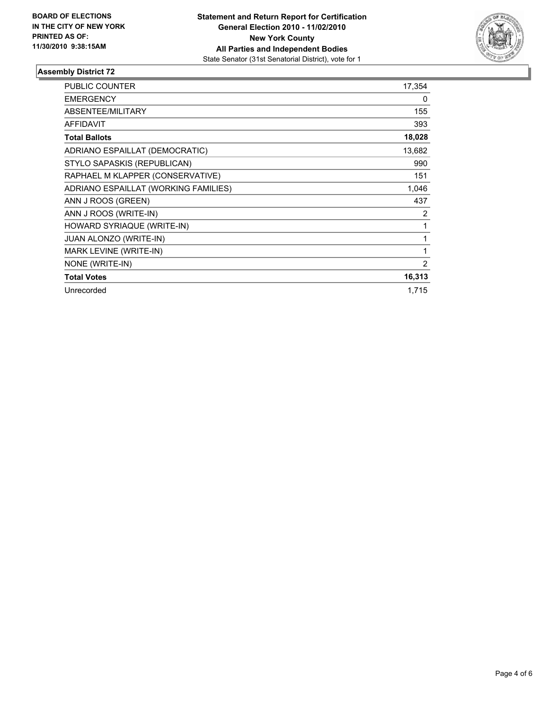

#### **Assembly District 72**

| <b>PUBLIC COUNTER</b>                | 17,354 |
|--------------------------------------|--------|
| <b>EMERGENCY</b>                     | 0      |
| ABSENTEE/MILITARY                    | 155    |
| <b>AFFIDAVIT</b>                     | 393    |
| <b>Total Ballots</b>                 | 18,028 |
| ADRIANO ESPAILLAT (DEMOCRATIC)       | 13,682 |
| STYLO SAPASKIS (REPUBLICAN)          | 990    |
| RAPHAEL M KLAPPER (CONSERVATIVE)     | 151    |
| ADRIANO ESPAILLAT (WORKING FAMILIES) | 1,046  |
| ANN J ROOS (GREEN)                   | 437    |
| ANN J ROOS (WRITE-IN)                | 2      |
| HOWARD SYRIAQUE (WRITE-IN)           | 1      |
| <b>JUAN ALONZO (WRITE-IN)</b>        | 1      |
| MARK LEVINE (WRITE-IN)               | 1      |
| NONE (WRITE-IN)                      | 2      |
| <b>Total Votes</b>                   | 16,313 |
| Unrecorded                           | 1,715  |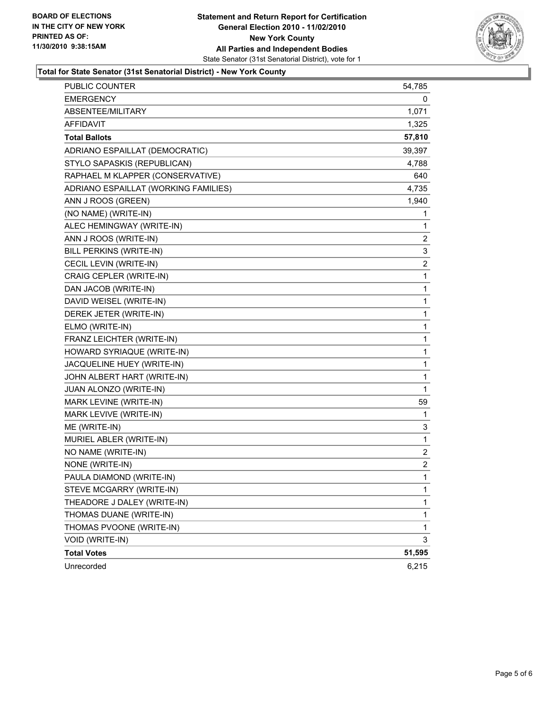

#### **Total for State Senator (31st Senatorial District) - New York County**

| PUBLIC COUNTER                       | 54,785         |
|--------------------------------------|----------------|
| <b>EMERGENCY</b>                     | 0              |
| ABSENTEE/MILITARY                    | 1,071          |
| AFFIDAVIT                            | 1,325          |
| <b>Total Ballots</b>                 | 57,810         |
| ADRIANO ESPAILLAT (DEMOCRATIC)       | 39,397         |
| STYLO SAPASKIS (REPUBLICAN)          | 4,788          |
| RAPHAEL M KLAPPER (CONSERVATIVE)     | 640            |
| ADRIANO ESPAILLAT (WORKING FAMILIES) | 4,735          |
| ANN J ROOS (GREEN)                   | 1,940          |
| (NO NAME) (WRITE-IN)                 | 1              |
| ALEC HEMINGWAY (WRITE-IN)            | 1              |
| ANN J ROOS (WRITE-IN)                | 2              |
| BILL PERKINS (WRITE-IN)              | 3              |
| CECIL LEVIN (WRITE-IN)               | 2              |
| CRAIG CEPLER (WRITE-IN)              | 1              |
| DAN JACOB (WRITE-IN)                 | 1              |
| DAVID WEISEL (WRITE-IN)              | 1              |
| DEREK JETER (WRITE-IN)               | 1              |
| ELMO (WRITE-IN)                      | 1              |
| FRANZ LEICHTER (WRITE-IN)            | 1              |
| HOWARD SYRIAQUE (WRITE-IN)           | 1              |
| JACQUELINE HUEY (WRITE-IN)           | 1              |
| JOHN ALBERT HART (WRITE-IN)          | 1              |
| JUAN ALONZO (WRITE-IN)               | 1              |
| MARK LEVINE (WRITE-IN)               | 59             |
| MARK LEVIVE (WRITE-IN)               | 1              |
| ME (WRITE-IN)                        | 3              |
| MURIEL ABLER (WRITE-IN)              | 1              |
| NO NAME (WRITE-IN)                   | 2              |
| NONE (WRITE-IN)                      | $\overline{2}$ |
| PAULA DIAMOND (WRITE-IN)             | $\mathbf{1}$   |
| STEVE MCGARRY (WRITE-IN)             | 1              |
| THEADORE J DALEY (WRITE-IN)          | 1              |
| THOMAS DUANE (WRITE-IN)              | 1              |
| THOMAS PVOONE (WRITE-IN)             | 1              |
| VOID (WRITE-IN)                      | 3              |
| <b>Total Votes</b>                   | 51,595         |
| Unrecorded                           | 6,215          |